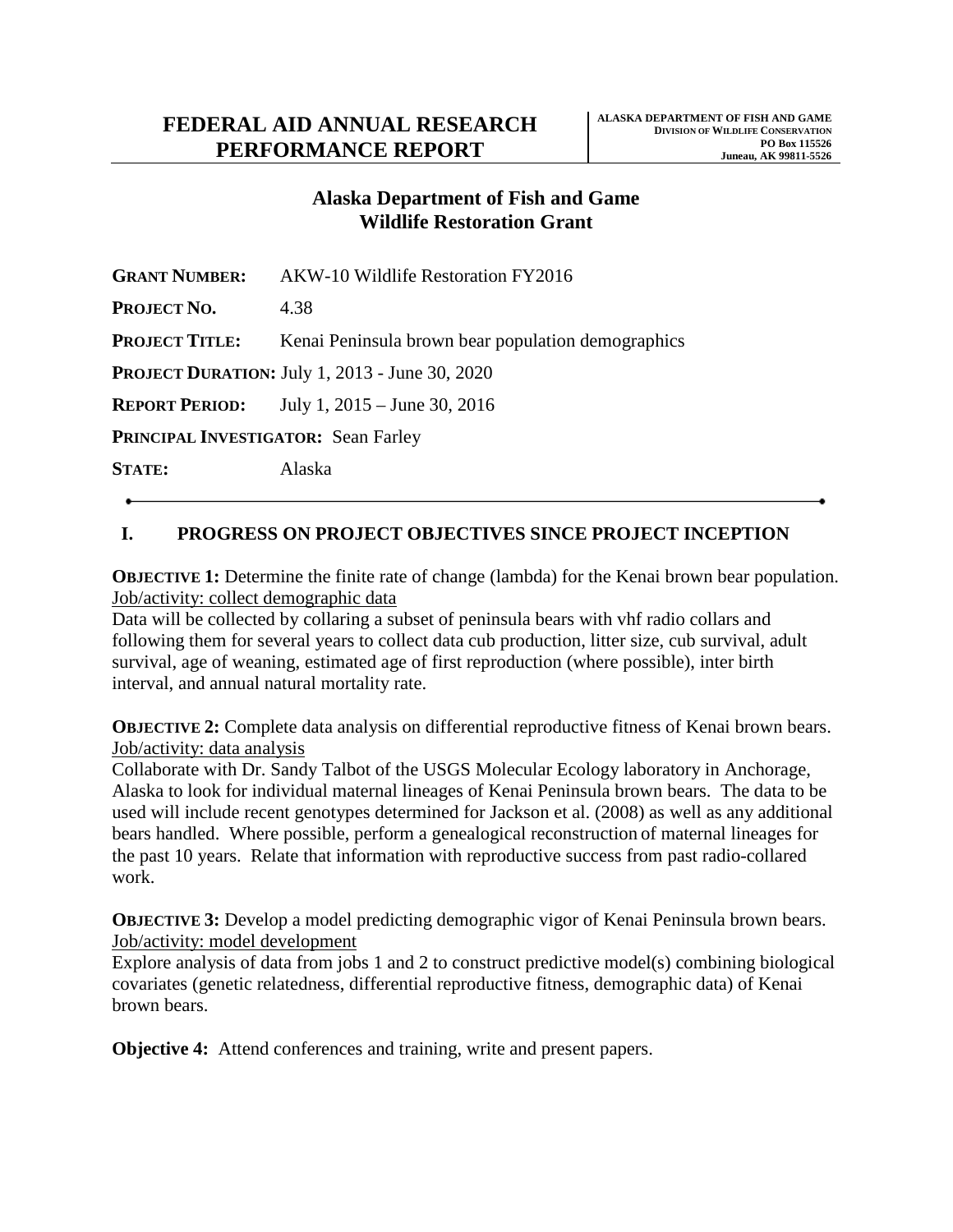## **Alaska Department of Fish and Game Wildlife Restoration Grant**

| <b>GRANT NUMBER:</b>                                  | AKW-10 Wildlife Restoration FY2016                 |
|-------------------------------------------------------|----------------------------------------------------|
| Project No.                                           | 4.38                                               |
| <b>Project Title:</b>                                 | Kenai Peninsula brown bear population demographics |
| <b>PROJECT DURATION: July 1, 2013 - June 30, 2020</b> |                                                    |
|                                                       | <b>REPORT PERIOD:</b> July 1, 2015 – June 30, 2016 |
| <b>PRINCIPAL INVESTIGATOR: Sean Farley</b>            |                                                    |
| <b>STATE:</b>                                         | Alaska                                             |
|                                                       |                                                    |

# **I. PROGRESS ON PROJECT OBJECTIVES SINCE PROJECT INCEPTION**

**OBJECTIVE 1:** Determine the finite rate of change (lambda) for the Kenai brown bear population. Job/activity: collect demographic data

Data will be collected by collaring a subset of peninsula bears with vhf radio collars and following them for several years to collect data cub production, litter size, cub survival, adult survival, age of weaning, estimated age of first reproduction (where possible), inter birth interval, and annual natural mortality rate.

**OBJECTIVE 2:** Complete data analysis on differential reproductive fitness of Kenai brown bears. Job/activity: data analysis

Collaborate with Dr. Sandy Talbot of the USGS Molecular Ecology laboratory in Anchorage, Alaska to look for individual maternal lineages of Kenai Peninsula brown bears. The data to be used will include recent genotypes determined for Jackson et al. (2008) as well as any additional bears handled. Where possible, perform a genealogical reconstruction of maternal lineages for the past 10 years. Relate that information with reproductive success from past radio-collared work.

**OBJECTIVE 3:** Develop a model predicting demographic vigor of Kenai Peninsula brown bears. Job/activity: model development

Explore analysis of data from jobs 1 and 2 to construct predictive model(s) combining biological covariates (genetic relatedness, differential reproductive fitness, demographic data) of Kenai brown bears.

**Objective 4:** Attend conferences and training, write and present papers.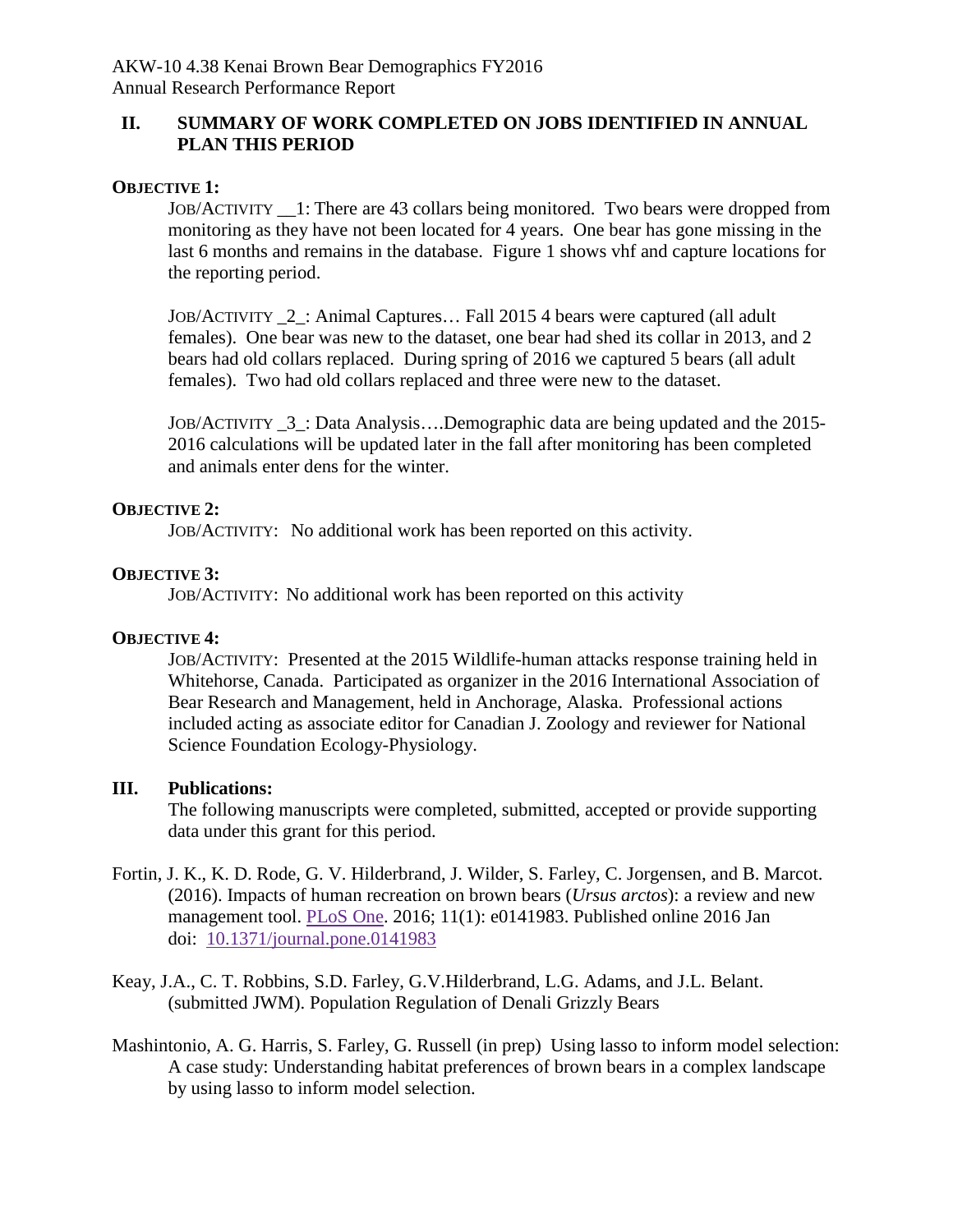## **II. SUMMARY OF WORK COMPLETED ON JOBS IDENTIFIED IN ANNUAL PLAN THIS PERIOD**

#### **OBJECTIVE 1:**

JOB/ACTIVITY \_\_1: There are 43 collars being monitored. Two bears were dropped from monitoring as they have not been located for 4 years. One bear has gone missing in the last 6 months and remains in the database. Figure 1 shows vhf and capture locations for the reporting period.

JOB/ACTIVITY \_2\_: Animal Captures… Fall 2015 4 bears were captured (all adult females). One bear was new to the dataset, one bear had shed its collar in 2013, and 2 bears had old collars replaced. During spring of 2016 we captured 5 bears (all adult females). Two had old collars replaced and three were new to the dataset.

JOB/ACTIVITY \_3\_: Data Analysis….Demographic data are being updated and the 2015- 2016 calculations will be updated later in the fall after monitoring has been completed and animals enter dens for the winter.

#### **OBJECTIVE 2:**

JOB/ACTIVITY: No additional work has been reported on this activity.

#### **OBJECTIVE 3:**

JOB/ACTIVITY: No additional work has been reported on this activity

#### **OBJECTIVE 4:**

JOB/ACTIVITY: Presented at the 2015 Wildlife-human attacks response training held in Whitehorse, Canada. Participated as organizer in the 2016 International Association of Bear Research and Management, held in Anchorage, Alaska. Professional actions included acting as associate editor for Canadian J. Zoology and reviewer for National Science Foundation Ecology-Physiology.

### **III. Publications:**

The following manuscripts were completed, submitted, accepted or provide supporting data under this grant for this period.

- Fortin, J. K., K. D. Rode, G. V. Hilderbrand, J. Wilder, S. Farley, C. Jorgensen, and B. Marcot. (2016). Impacts of human recreation on brown bears (*Ursus arctos*): a review and new management tool. [PLoS One.](http://www.ncbi.nlm.nih.gov/pmc/articles/PMC4701408/) 2016; 11(1): e0141983. Published online 2016 Jan doi: [10.1371/journal.pone.0141983](http://dx.doi.org/10.1371%2Fjournal.pone.0141983)
- Keay, J.A., C. T. Robbins, S.D. Farley, G.V.Hilderbrand, L.G. Adams, and J.L. Belant. (submitted JWM). Population Regulation of Denali Grizzly Bears
- Mashintonio, A. G. Harris, S. Farley, G. Russell (in prep) Using lasso to inform model selection: A case study: Understanding habitat preferences of brown bears in a complex landscape by using lasso to inform model selection.